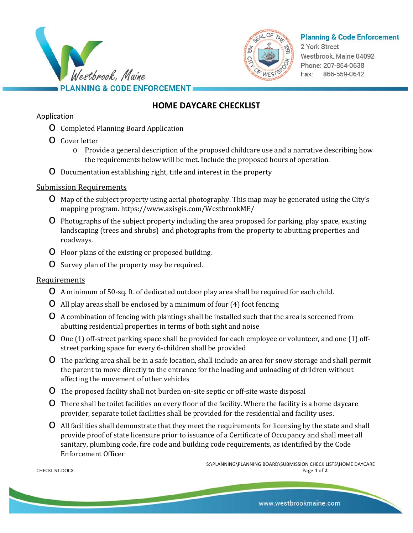



## **Planning & Code Enforcement**

2 York Street Westbrook, Maine 04092 Phone: 207-854-0638 Fax: 866-559-0642

# **HOME DAYCARE CHECKLIST**

### Application

- o Completed Planning Board Application
- o Cover letter
	- o Provide a general description of the proposed childcare use and a narrative describing how the requirements below will be met. Include the proposed hours of operation.
- o Documentation establishing right, title and interest in the property

## Submission Requirements

- o Map of the subject property using aerial photography. This map may be generated using the City's mapping program. https://www.axisgis.com/WestbrookME/
- o Photographs of the subject property including the area proposed for parking, play space, existing landscaping (trees and shrubs) and photographs from the property to abutting properties and roadways.
- o Floor plans of the existing or proposed building.
- o Survey plan of the property may be required.

#### Requirements

- o A minimum of 50-sq. ft. of dedicated outdoor play area shall be required for each child.
- $O$  All play areas shall be enclosed by a minimum of four  $(4)$  foot fencing
- o A combination of fencing with plantings shall be installed such that the area is screened from abutting residential properties in terms of both sight and noise
- o One (1) off-street parking space shall be provided for each employee or volunteer, and one (1) offstreet parking space for every 6-children shall be provided
- o The parking area shall be in a safe location, shall include an area for snow storage and shall permit the parent to move directly to the entrance for the loading and unloading of children without affecting the movement of other vehicles
- o The proposed facility shall not burden on-site septic or off-site waste disposal
- o There shall be toilet facilities on every floor of the facility. Where the facility is a home daycare provider, separate toilet facilities shall be provided for the residential and facility uses.
- o All facilities shall demonstrate that they meet the requirements for licensing by the state and shall provide proof of state licensure prior to issuance of a Certificate of Occupancy and shall meet all sanitary, plumbing code, fire code and building code requirements, as identified by the Code Enforcement Officer

S:\PLANNING\PLANNING BOARD\SUBMISSION CHECK LISTS\HOME DAYCARE CHECKLIST.DOCX Page **1** of **2**

www.westbrookmaine.com